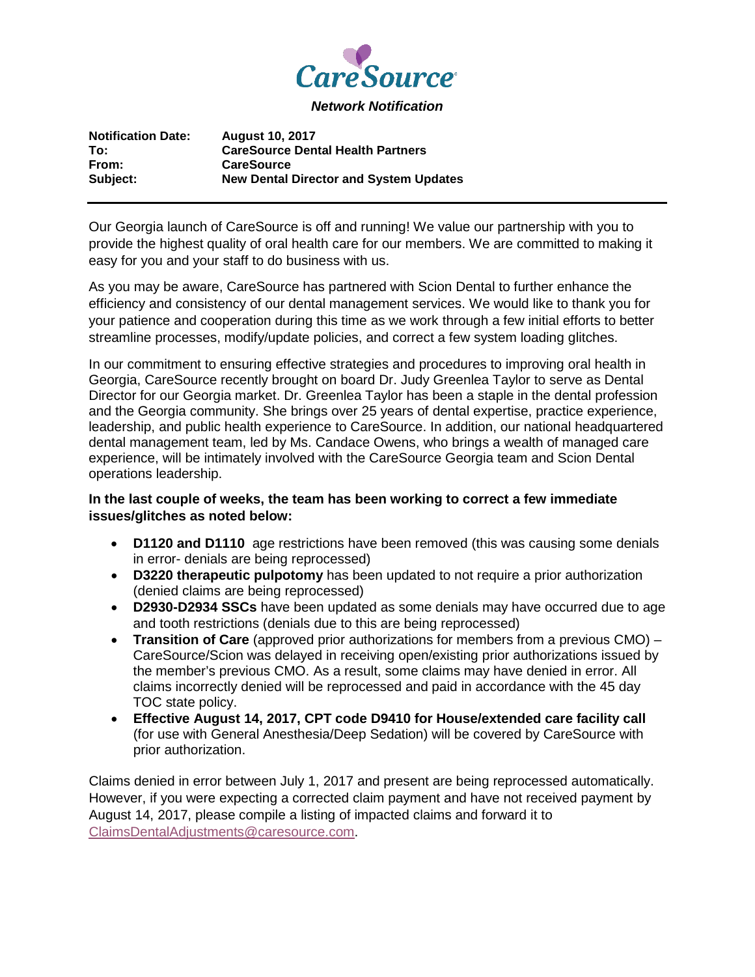

*Network Notification*

| <b>Notification Date:</b> | <b>August 10, 2017</b>                        |
|---------------------------|-----------------------------------------------|
| To:                       | <b>CareSource Dental Health Partners</b>      |
| From:                     | <b>CareSource</b>                             |
| Subject:                  | <b>New Dental Director and System Updates</b> |

Our Georgia launch of CareSource is off and running! We value our partnership with you to provide the highest quality of oral health care for our members. We are committed to making it easy for you and your staff to do business with us.

As you may be aware, CareSource has partnered with Scion Dental to further enhance the efficiency and consistency of our dental management services. We would like to thank you for your patience and cooperation during this time as we work through a few initial efforts to better streamline processes, modify/update policies, and correct a few system loading glitches.

In our commitment to ensuring effective strategies and procedures to improving oral health in Georgia, CareSource recently brought on board Dr. Judy Greenlea Taylor to serve as Dental Director for our Georgia market. Dr. Greenlea Taylor has been a staple in the dental profession and the Georgia community. She brings over 25 years of dental expertise, practice experience, leadership, and public health experience to CareSource. In addition, our national headquartered dental management team, led by Ms. Candace Owens, who brings a wealth of managed care experience, will be intimately involved with the CareSource Georgia team and Scion Dental operations leadership.

## **In the last couple of weeks, the team has been working to correct a few immediate issues/glitches as noted below:**

- **D1120 and D1110** age restrictions have been removed (this was causing some denials in error- denials are being reprocessed)
- **D3220 therapeutic pulpotomy** has been updated to not require a prior authorization (denied claims are being reprocessed)
- **D2930-D2934 SSCs** have been updated as some denials may have occurred due to age and tooth restrictions (denials due to this are being reprocessed)
- **Transition of Care** (approved prior authorizations for members from a previous CMO) CareSource/Scion was delayed in receiving open/existing prior authorizations issued by the member's previous CMO. As a result, some claims may have denied in error. All claims incorrectly denied will be reprocessed and paid in accordance with the 45 day TOC state policy.
- **Effective August 14, 2017, CPT code D9410 for House/extended care facility call** (for use with General Anesthesia/Deep Sedation) will be covered by CareSource with prior authorization.

Claims denied in error between July 1, 2017 and present are being reprocessed automatically. However, if you were expecting a corrected claim payment and have not received payment by August 14, 2017, please compile a listing of impacted claims and forward it to [ClaimsDentalAdjustments@caresource.com.](mailto:ClaimsDentalAdjustments@caresource.com)